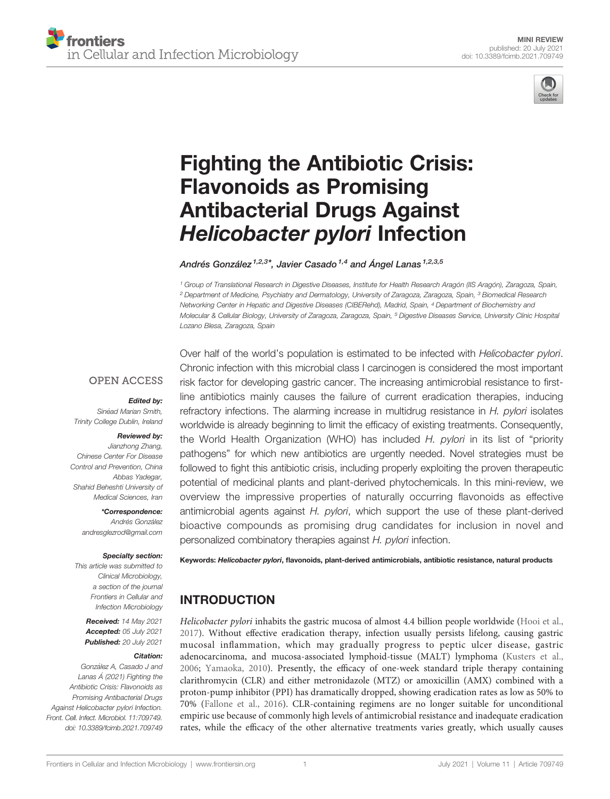

# [Fighting the Antibiotic Crisis:](https://www.frontiersin.org/articles/10.3389/fcimb.2021.709749/full) [Flavonoids as Promising](https://www.frontiersin.org/articles/10.3389/fcimb.2021.709749/full) [Antibacterial Drugs Against](https://www.frontiersin.org/articles/10.3389/fcimb.2021.709749/full) [Helicobacter pylori](https://www.frontiersin.org/articles/10.3389/fcimb.2021.709749/full) Infection

Andrés González<sup> $1,2,3^*$ </sup>, Javier Casado<sup> $1,4$ </sup> and Angel Lanas  $1,2,3,5$ 

<sup>1</sup> Group of Translational Research in Digestive Diseases, Institute for Health Research Aragón (IIS Aragón), Zaragoza, Spain, <sup>2</sup> Department of Medicine, Psychiatry and Dermatology, University of Zaragoza, Zaragoza, Spain, <sup>3</sup> Biomedical Research Networking Center in Hepatic and Digestive Diseases (CIBERehd), Madrid, Spain, <sup>4</sup> Department of Biochemistry and Molecular & Cellular Biology, University of Zaragoza, Zaragoza, Spain, <sup>5</sup> Digestive Diseases Service, University Clinic Hospital Lozano Blesa, Zaragoza, Spain

## **OPEN ACCESS**

### Edited by:

Sinéad Marian Smith, Trinity College Dublin, Ireland

### Reviewed by:

Jianzhong Zhang, Chinese Center For Disease Control and Prevention, China Abbas Yadegar, Shahid Beheshti University of Medical Sciences, Iran

### \*Correspondence:

Andrés González [andresglezrod@gmail.com](mailto:andresglezrod@gmail.com)

### Specialty section:

This article was submitted to Clinical Microbiology, a section of the journal Frontiers in Cellular and Infection Microbiology

Received: 14 May 2021 Accepted: 05 July 2021 Published: 20 July 2021

### Citation:

González A, Casado J and Lanas Á (2021) Fighting the Antibiotic Crisis: Flavonoids as Promising Antibacterial Drugs Against Helicobacter pylori Infection. Front. Cell. Infect. Microbiol. 11:709749. [doi: 10.3389/fcimb.2021.709749](https://doi.org/10.3389/fcimb.2021.709749) Over half of the world's population is estimated to be infected with *Helicobacter pylori*. Chronic infection with this microbial class I carcinogen is considered the most important risk factor for developing gastric cancer. The increasing antimicrobial resistance to firstline antibiotics mainly causes the failure of current eradication therapies, inducing refractory infections. The alarming increase in multidrug resistance in H. pylori isolates worldwide is already beginning to limit the efficacy of existing treatments. Consequently, the World Health Organization (WHO) has included H. pylori in its list of "priority pathogens" for which new antibiotics are urgently needed. Novel strategies must be followed to fight this antibiotic crisis, including properly exploiting the proven therapeutic potential of medicinal plants and plant-derived phytochemicals. In this mini-review, we overview the impressive properties of naturally occurring flavonoids as effective antimicrobial agents against H. pylori, which support the use of these plant-derived bioactive compounds as promising drug candidates for inclusion in novel and personalized combinatory therapies against H. pylori infection.

Keywords: Helicobacter pylori, flavonoids, plant-derived antimicrobials, antibiotic resistance, natural products

# INTRODUCTION

Helicobacter pylori inhabits the gastric mucosa of almost 4.4 billion people worldwide ([Hooi et al.,](#page-6-0) [2017\)](#page-6-0). Without effective eradication therapy, infection usually persists lifelong, causing gastric mucosal inflammation, which may gradually progress to peptic ulcer disease, gastric adenocarcinoma, and mucosa-associated lymphoid-tissue (MALT) lymphoma ([Kusters et al.,](#page-6-0) [2006;](#page-6-0) [Yamaoka, 2010\)](#page-8-0). Presently, the efficacy of one-week standard triple therapy containing clarithromycin (CLR) and either metronidazole (MTZ) or amoxicillin (AMX) combined with a proton-pump inhibitor (PPI) has dramatically dropped, showing eradication rates as low as 50% to 70% ([Fallone et al., 2016\)](#page-6-0). CLR-containing regimens are no longer suitable for unconditional empiric use because of commonly high levels of antimicrobial resistance and inadequate eradication rates, while the efficacy of the other alternative treatments varies greatly, which usually causes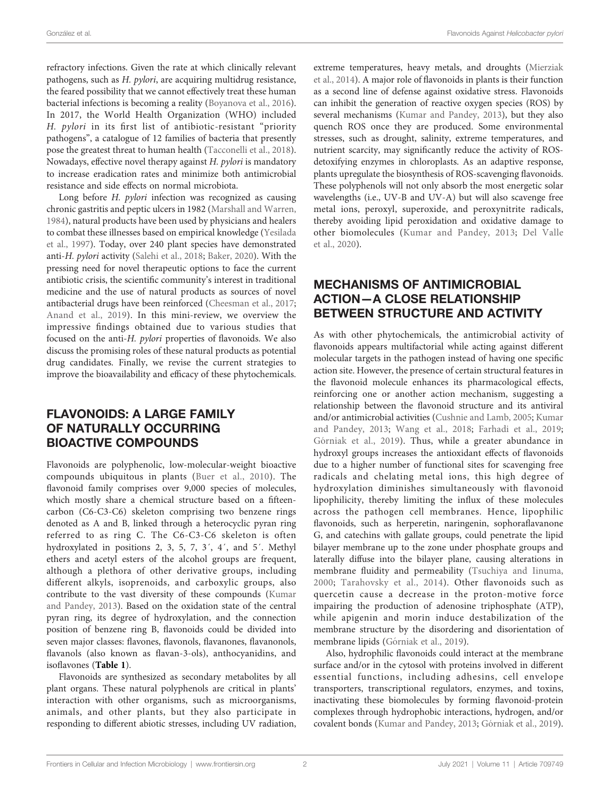refractory infections. Given the rate at which clinically relevant pathogens, such as H. pylori, are acquiring multidrug resistance, the feared possibility that we cannot effectively treat these human bacterial infections is becoming a reality [\(Boyanova et al., 2016\)](#page-5-0). In 2017, the World Health Organization (WHO) included H. pylori in its first list of antibiotic-resistant "priority pathogens", a catalogue of 12 families of bacteria that presently pose the greatest threat to human health ([Tacconelli et al., 2018\)](#page-7-0). Nowadays, effective novel therapy against H. pylori is mandatory to increase eradication rates and minimize both antimicrobial resistance and side effects on normal microbiota.

Long before H. pylori infection was recognized as causing chronic gastritis and peptic ulcers in 1982 [\(Marshall and Warren,](#page-7-0) [1984\)](#page-7-0), natural products have been used by physicians and healers to combat these illnesses based on empirical knowledge ([Yesilada](#page-8-0) [et al., 1997\)](#page-8-0). Today, over 240 plant species have demonstrated anti-H. pylori activity [\(Salehi et al., 2018](#page-7-0); [Baker, 2020](#page-5-0)). With the pressing need for novel therapeutic options to face the current antibiotic crisis, the scientific community's interest in traditional medicine and the use of natural products as sources of novel antibacterial drugs have been reinforced ([Cheesman et al., 2017](#page-6-0); [Anand et al., 2019\)](#page-5-0). In this mini-review, we overview the impressive findings obtained due to various studies that focused on the anti-H. pylori properties of flavonoids. We also discuss the promising roles of these natural products as potential drug candidates. Finally, we revise the current strategies to improve the bioavailability and efficacy of these phytochemicals.

# FLAVONOIDS: A LARGE FAMILY OF NATURALLY OCCURRING BIOACTIVE COMPOUNDS

Flavonoids are polyphenolic, low-molecular-weight bioactive compounds ubiquitous in plants ([Buer et al., 2010\)](#page-6-0). The flavonoid family comprises over 9,000 species of molecules, which mostly share a chemical structure based on a fifteencarbon (C6-C3-C6) skeleton comprising two benzene rings denoted as A and B, linked through a heterocyclic pyran ring referred to as ring C. The C6-C3-C6 skeleton is often hydroxylated in positions 2, 3, 5, 7, 3´, 4´, and 5´. Methyl ethers and acetyl esters of the alcohol groups are frequent, although a plethora of other derivative groups, including different alkyls, isoprenoids, and carboxylic groups, also contribute to the vast diversity of these compounds [\(Kumar](#page-6-0) [and Pandey, 2013\)](#page-6-0). Based on the oxidation state of the central pyran ring, its degree of hydroxylation, and the connection position of benzene ring B, flavonoids could be divided into seven major classes: flavones, flavonols, flavanones, flavanonols, flavanols (also known as flavan-3-ols), anthocyanidins, and isoflavones ([Table 1](#page-2-0)).

Flavonoids are synthesized as secondary metabolites by all plant organs. These natural polyphenols are critical in plants' interaction with other organisms, such as microorganisms, animals, and other plants, but they also participate in responding to different abiotic stresses, including UV radiation, extreme temperatures, heavy metals, and droughts [\(Mierziak](#page-7-0) [et al., 2014](#page-7-0)). A major role of flavonoids in plants is their function as a second line of defense against oxidative stress. Flavonoids can inhibit the generation of reactive oxygen species (ROS) by several mechanisms ([Kumar and Pandey, 2013\)](#page-6-0), but they also quench ROS once they are produced. Some environmental stresses, such as drought, salinity, extreme temperatures, and nutrient scarcity, may significantly reduce the activity of ROSdetoxifying enzymes in chloroplasts. As an adaptive response, plants upregulate the biosynthesis of ROS-scavenging flavonoids. These polyphenols will not only absorb the most energetic solar wavelengths (i.e., UV-B and UV-A) but will also scavenge free metal ions, peroxyl, superoxide, and peroxynitrite radicals, thereby avoiding lipid peroxidation and oxidative damage to other biomolecules ([Kumar and Pandey, 2013;](#page-6-0) [Del Valle](#page-6-0) [et al., 2020\)](#page-6-0).

# MECHANISMS OF ANTIMICROBIAL ACTION—A CLOSE RELATIONSHIP BETWEEN STRUCTURE AND ACTIVITY

As with other phytochemicals, the antimicrobial activity of flavonoids appears multifactorial while acting against different molecular targets in the pathogen instead of having one specific action site. However, the presence of certain structural features in the flavonoid molecule enhances its pharmacological effects, reinforcing one or another action mechanism, suggesting a relationship between the flavonoid structure and its antiviral and/or antimicrobial activities [\(Cushnie and Lamb, 2005](#page-6-0); [Kumar](#page-6-0) [and Pandey, 2013](#page-6-0); [Wang et al., 2018](#page-8-0); [Farhadi et al., 2019;](#page-6-0) Gó[rniak et al., 2019](#page-6-0)). Thus, while a greater abundance in hydroxyl groups increases the antioxidant effects of flavonoids due to a higher number of functional sites for scavenging free radicals and chelating metal ions, this high degree of hydroxylation diminishes simultaneously with flavonoid lipophilicity, thereby limiting the influx of these molecules across the pathogen cell membranes. Hence, lipophilic flavonoids, such as herperetin, naringenin, sophoraflavanone G, and catechins with gallate groups, could penetrate the lipid bilayer membrane up to the zone under phosphate groups and laterally diffuse into the bilayer plane, causing alterations in membrane fluidity and permeability ([Tsuchiya and Iinuma,](#page-8-0) [2000](#page-8-0); [Tarahovsky et al., 2014\)](#page-7-0). Other flavonoids such as quercetin cause a decrease in the proton-motive force impairing the production of adenosine triphosphate (ATP), while apigenin and morin induce destabilization of the membrane structure by the disordering and disorientation of membrane lipids (Gó[rniak et al., 2019](#page-6-0)).

Also, hydrophilic flavonoids could interact at the membrane surface and/or in the cytosol with proteins involved in different essential functions, including adhesins, cell envelope transporters, transcriptional regulators, enzymes, and toxins, inactivating these biomolecules by forming flavonoid-protein complexes through hydrophobic interactions, hydrogen, and/or covalent bonds ([Kumar and Pandey, 2013;](#page-6-0) Gó[rniak et al., 2019\)](#page-6-0).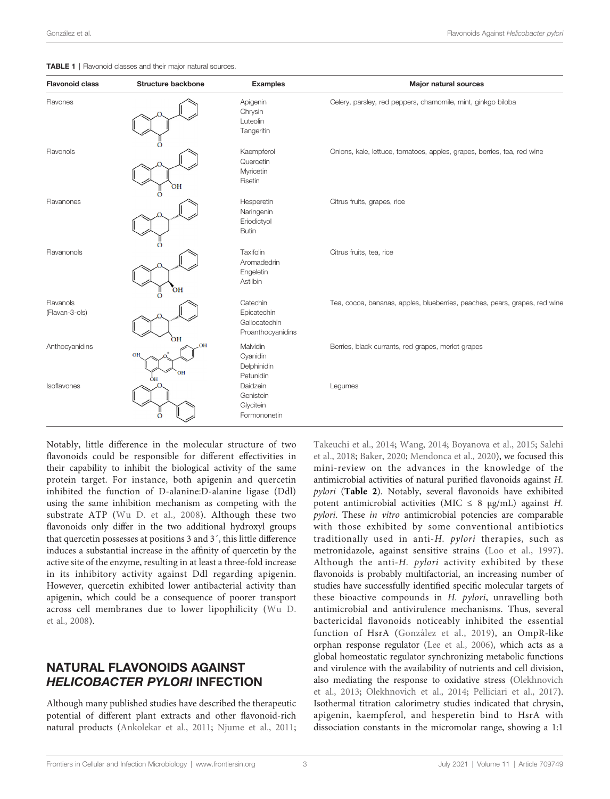<span id="page-2-0"></span>

|  | TABLE 1   Flavonoid classes and their major natural sources. |  |  |  |  |  |  |
|--|--------------------------------------------------------------|--|--|--|--|--|--|
|--|--------------------------------------------------------------|--|--|--|--|--|--|

| <b>Flavonoid class</b>      | <b>Structure backbone</b> | <b>Examples</b>                                               | <b>Major natural sources</b>                                               |
|-----------------------------|---------------------------|---------------------------------------------------------------|----------------------------------------------------------------------------|
| Flavones                    |                           | Apigenin<br>Chrysin<br>Luteolin<br>Tangeritin                 | Celery, parsley, red peppers, chamomile, mint, ginkgo biloba               |
| Flavonols                   | O<br>ЮH                   | Kaempferol<br>Quercetin<br>Myricetin<br>Fisetin               | Onions, kale, lettuce, tomatoes, apples, grapes, berries, tea, red wine    |
| Flavanones                  | O                         | Hesperetin<br>Naringenin<br>Eriodictyol<br><b>Butin</b>       | Citrus fruits, grapes, rice                                                |
| Flavanonols                 | $\Omega$<br>OH            | Taxifolin<br>Aromadedrin<br>Engeletin<br>Astilbin             | Citrus fruits, tea, rice                                                   |
| Flavanols<br>(Flavan-3-ols) | O<br>OH                   | Catechin<br>Epicatechin<br>Gallocatechin<br>Proanthocyanidins | Tea, cocoa, bananas, apples, blueberries, peaches, pears, grapes, red wine |
| Anthocyanidins              | OH<br>OF<br>OH<br>ÒН      | Malvidin<br>Cyanidin<br>Delphinidin<br>Petunidin              | Berries, black currants, red grapes, merlot grapes                         |
| Isoflavones                 | $\Omega$                  | Daidzein<br>Genistein<br>Glycitein<br>Formononetin            | Legumes                                                                    |

Notably, little difference in the molecular structure of two flavonoids could be responsible for different effectivities in their capability to inhibit the biological activity of the same protein target. For instance, both apigenin and quercetin inhibited the function of D-alanine:D-alanine ligase (Ddl) using the same inhibition mechanism as competing with the substrate ATP [\(Wu D. et al., 2008](#page-8-0)). Although these two flavonoids only differ in the two additional hydroxyl groups that quercetin possesses at positions 3 and 3´, this little difference induces a substantial increase in the affinity of quercetin by the active site of the enzyme, resulting in at least a three-fold increase in its inhibitory activity against Ddl regarding apigenin. However, quercetin exhibited lower antibacterial activity than apigenin, which could be a consequence of poorer transport across cell membranes due to lower lipophilicity [\(Wu D.](#page-8-0) [et al., 2008\)](#page-8-0).

# NATURAL FLAVONOIDS AGAINST HELICOBACTER PYLORI INFECTION

Although many published studies have described the therapeutic potential of different plant extracts and other flavonoid-rich natural products ([Ankolekar et al., 2011](#page-5-0); [Njume et al., 2011](#page-7-0);

[Takeuchi et al., 2014](#page-7-0); [Wang, 2014](#page-8-0); [Boyanova et al., 2015;](#page-6-0) [Salehi](#page-7-0) [et al., 2018;](#page-7-0) [Baker, 2020;](#page-5-0) [Mendonca et al., 2020](#page-7-0)), we focused this mini-review on the advances in the knowledge of the antimicrobial activities of natural purified flavonoids against H. pylori ([Table 2](#page-3-0)). Notably, several flavonoids have exhibited potent antimicrobial activities (MIC  $\leq$  8 µg/mL) against H. pylori. These in vitro antimicrobial potencies are comparable with those exhibited by some conventional antibiotics traditionally used in anti-H. pylori therapies, such as metronidazole, against sensitive strains ([Loo et al., 1997](#page-7-0)). Although the anti-H. pylori activity exhibited by these flavonoids is probably multifactorial, an increasing number of studies have successfully identified specific molecular targets of these bioactive compounds in H. pylori, unravelling both antimicrobial and antivirulence mechanisms. Thus, several bactericidal flavonoids noticeably inhibited the essential function of HsrA (Gonzá[lez et al., 2019\)](#page-6-0), an OmpR-like orphan response regulator [\(Lee et al., 2006](#page-7-0)), which acts as a global homeostatic regulator synchronizing metabolic functions and virulence with the availability of nutrients and cell division, also mediating the response to oxidative stress [\(Olekhnovich](#page-7-0) [et al., 2013;](#page-7-0) [Olekhnovich et al., 2014;](#page-7-0) [Pelliciari et al., 2017\)](#page-7-0). Isothermal titration calorimetry studies indicated that chrysin, apigenin, kaempferol, and hesperetin bind to HsrA with dissociation constants in the micromolar range, showing a 1:1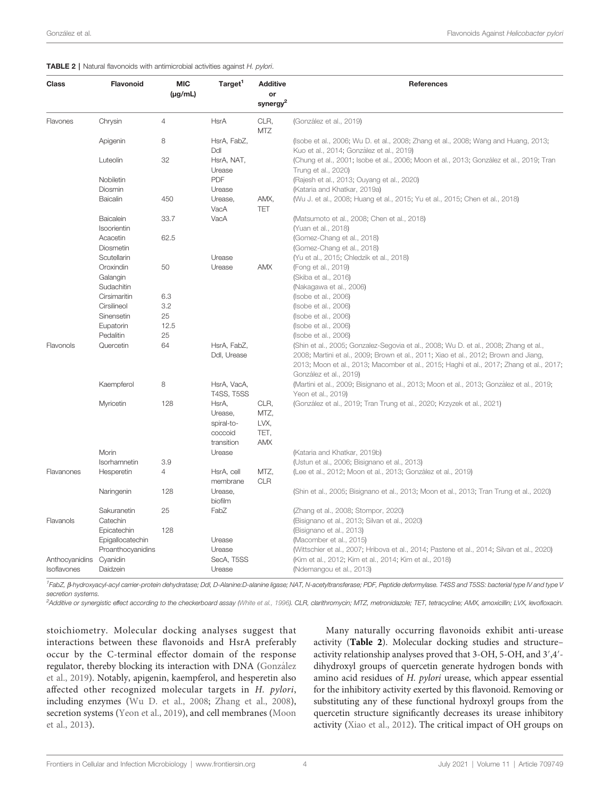#### <span id="page-3-0"></span>TABLE 2 | Natural flavonoids with antimicrobial activities against H. pylori.

| Class                         | <b>Flavonoid</b>         | <b>MIC</b><br>$(\mu g/mL)$ | Target <sup>1</sup>                                     | <b>Additive</b><br>or<br>synergy <sup>2</sup> | <b>References</b>                                                                                                                                                                                                                                                                                |
|-------------------------------|--------------------------|----------------------------|---------------------------------------------------------|-----------------------------------------------|--------------------------------------------------------------------------------------------------------------------------------------------------------------------------------------------------------------------------------------------------------------------------------------------------|
| Flavones                      | Chrysin                  | 4                          | <b>HsrA</b>                                             | CLR,<br>MTZ                                   | (González et al., 2019)                                                                                                                                                                                                                                                                          |
|                               | Apigenin                 | 8                          | HsrA, FabZ,<br>Ddl                                      |                                               | (Isobe et al., 2006; Wu D. et al., 2008; Zhang et al., 2008; Wang and Huang, 2013;<br>Kuo et al., 2014; González et al., 2019)                                                                                                                                                                   |
|                               | Luteolin<br>Nobiletin    | 32                         | HsrA, NAT,<br>Urease<br><b>PDF</b>                      |                                               | (Chung et al., 2001; Isobe et al., 2006; Moon et al., 2013; González et al., 2019; Tran<br>Trung et al., 2020)                                                                                                                                                                                   |
|                               | Diosmin                  |                            | Urease                                                  |                                               | (Rajesh et al., 2013; Ouyang et al., 2020)<br>(Kataria and Khatkar, 2019a)                                                                                                                                                                                                                       |
|                               | Baicalin                 | 450                        | Urease,<br>VacA                                         | AMX,<br><b>TET</b>                            | (Wu J. et al., 2008; Huang et al., 2015; Yu et al., 2015; Chen et al., 2018)                                                                                                                                                                                                                     |
|                               | Baicalein<br>Isoorientin | 33.7                       | VacA                                                    |                                               | (Matsumoto et al., 2008; Chen et al., 2018)<br>(Yuan et al., 2018)                                                                                                                                                                                                                               |
|                               | Acacetin<br>Diosmetin    | 62.5                       |                                                         |                                               | (Gomez-Chang et al., 2018)<br>(Gomez-Chang et al., 2018)                                                                                                                                                                                                                                         |
|                               | Scutellarin              |                            | Urease                                                  |                                               | (Yu et al., 2015; Chledzik et al., 2018)                                                                                                                                                                                                                                                         |
|                               | Oroxindin                | 50                         | Urease                                                  | AMX                                           | (Fong et al., 2019)                                                                                                                                                                                                                                                                              |
|                               | Galangin                 |                            |                                                         |                                               | (Skiba et al., 2016)                                                                                                                                                                                                                                                                             |
|                               | Sudachitin               |                            |                                                         |                                               | (Nakagawa et al., 2006)                                                                                                                                                                                                                                                                          |
|                               | Cirsimaritin             | 6.3                        |                                                         |                                               | (Isobe et al., 2006)                                                                                                                                                                                                                                                                             |
|                               | Cirsilineol              | 3.2                        |                                                         |                                               | (Isobe et al., 2006)                                                                                                                                                                                                                                                                             |
|                               | Sinensetin               | 25                         |                                                         |                                               | (Isobe et al., 2006)                                                                                                                                                                                                                                                                             |
|                               | Eupatorin                | 12.5                       |                                                         |                                               | (Isobe et al., 2006)                                                                                                                                                                                                                                                                             |
|                               | Pedalitin                | 25                         |                                                         |                                               | (Isobe et al., 2006)                                                                                                                                                                                                                                                                             |
| Flavonols                     | Quercetin                | 64                         | HsrA, FabZ,<br>Ddl, Urease                              |                                               | (Shin et al., 2005; Gonzalez-Segovia et al., 2008; Wu D. et al., 2008; Zhang et al.,<br>2008; Martini et al., 2009; Brown et al., 2011; Xiao et al., 2012; Brown and Jiang,<br>2013; Moon et al., 2013; Macomber et al., 2015; Haghi et al., 2017; Zhang et al., 2017;<br>González et al., 2019) |
|                               | Kaempferol               | 8                          | HsrA, VacA,<br><b>T4SS, T5SS</b>                        |                                               | (Martini et al., 2009; Bisignano et al., 2013; Moon et al., 2013; González et al., 2019;<br>Yeon et al., 2019)                                                                                                                                                                                   |
|                               | Myricetin                | 128                        | HsrA,<br>Urease,<br>spiral-to-<br>coccoid<br>transition | CLR,<br>MTZ,<br>LVX.<br>TET,<br>AMX           | (González et al., 2019; Tran Trung et al., 2020; Krzyzek et al., 2021)                                                                                                                                                                                                                           |
|                               | Morin                    |                            | Urease                                                  |                                               | (Kataria and Khatkar, 2019b)                                                                                                                                                                                                                                                                     |
|                               | Isorhamnetin             | 3.9                        |                                                         |                                               | (Ustun et al., 2006; Bisignano et al., 2013)                                                                                                                                                                                                                                                     |
| Flavanones                    | Hesperetin               | 4                          | HsrA, cell<br>membrane                                  | MTZ,<br><b>CLR</b>                            | (Lee et al., 2012; Moon et al., 2013; González et al., 2019)                                                                                                                                                                                                                                     |
|                               | Naringenin               | 128                        | Urease,<br>biofilm                                      |                                               | (Shin et al., 2005; Bisignano et al., 2013; Moon et al., 2013; Tran Trung et al., 2020)                                                                                                                                                                                                          |
| Flavanols                     | Sakuranetin<br>Catechin  | 25                         | FabZ                                                    |                                               | (Zhang et al., 2008; Stompor, 2020)<br>(Bisignano et al., 2013; Silvan et al., 2020)                                                                                                                                                                                                             |
|                               | Epicatechin              | 128                        |                                                         |                                               | (Bisignano et al., 2013)                                                                                                                                                                                                                                                                         |
|                               | Epigallocatechin         |                            | Urease                                                  |                                               | (Macomber et al., 2015)                                                                                                                                                                                                                                                                          |
|                               | Proanthocyanidins        |                            | Urease                                                  |                                               | (Wittschier et al., 2007; Hribova et al., 2014; Pastene et al., 2014; Silvan et al., 2020)                                                                                                                                                                                                       |
| Anthocyanidins<br>Isoflavones | Cyanidin<br>Daidzein     |                            | SecA, T5SS<br>Urease                                    |                                               | (Kim et al., 2012; Kim et al., 2014; Kim et al., 2018)<br>(Ndemangou et al., 2013)                                                                                                                                                                                                               |

1FabZ, β-hydroxyacyl-acyl carrier-protein dehydratase; Ddl, D-Alanine:D-alanine ligase; NAT, N-acetyltransferase; PDF, Peptide deformylase. T4SS and T5SS: bacterial type IV and type V secretion systems.

2 Additive or synergistic effect according to the checkerboard assay ([White et al., 1996\)](#page-8-0). CLR, clarithromycin; MTZ, metronidazole; TET, tetracycline; AMX, amoxicillin; LVX, levofloxacin.

stoichiometry. Molecular docking analyses suggest that interactions between these flavonoids and HsrA preferably occur by the C-terminal effector domain of the response regulator, thereby blocking its interaction with DNA (González [et al., 2019\)](#page-6-0). Notably, apigenin, kaempferol, and hesperetin also affected other recognized molecular targets in H. pylori, including enzymes [\(Wu D. et al., 2008](#page-8-0); [Zhang et al., 2008\)](#page-8-0), secretion systems [\(Yeon et al., 2019\)](#page-8-0), and cell membranes [\(Moon](#page-7-0) [et al., 2013\)](#page-7-0).

Many naturally occurring flavonoids exhibit anti-urease activity (Table 2). Molecular docking studies and structure– activity relationship analyses proved that 3-OH, 5-OH, and 3′,4′ dihydroxyl groups of quercetin generate hydrogen bonds with amino acid residues of H. pylori urease, which appear essential for the inhibitory activity exerted by this flavonoid. Removing or substituting any of these functional hydroxyl groups from the quercetin structure significantly decreases its urease inhibitory activity ([Xiao et al., 2012](#page-8-0)). The critical impact of OH groups on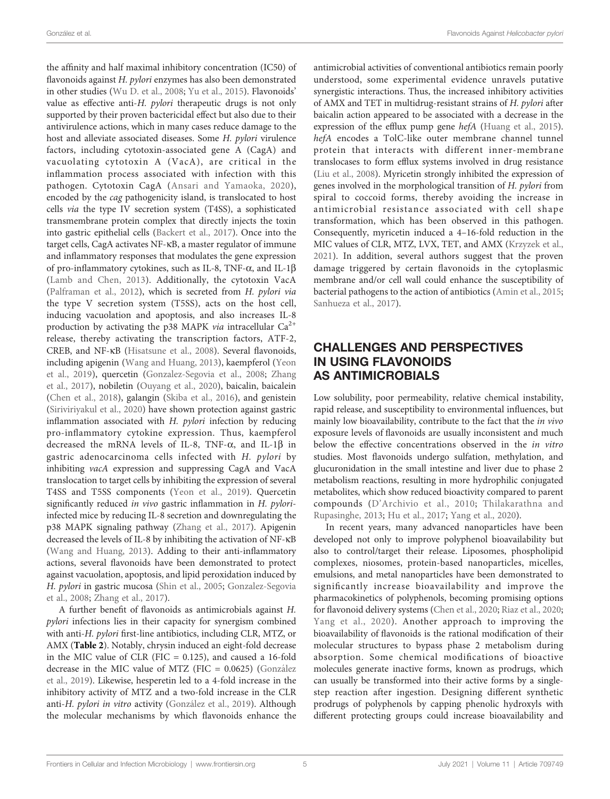the affinity and half maximal inhibitory concentration (IC50) of flavonoids against H. pylori enzymes has also been demonstrated in other studies [\(Wu D. et al., 2008](#page-8-0); [Yu et al., 2015\)](#page-8-0). Flavonoids' value as effective anti-H. pylori therapeutic drugs is not only supported by their proven bactericidal effect but also due to their antivirulence actions, which in many cases reduce damage to the host and alleviate associated diseases. Some H. pylori virulence factors, including cytotoxin-associated gene A (CagA) and vacuolating cytotoxin A (VacA), are critical in the inflammation process associated with infection with this pathogen. Cytotoxin CagA ([Ansari and Yamaoka, 2020\)](#page-5-0), encoded by the cag pathogenicity island, is translocated to host cells via the type IV secretion system (T4SS), a sophisticated transmembrane protein complex that directly injects the toxin into gastric epithelial cells ([Backert et al., 2017\)](#page-5-0). Once into the target cells, CagA activates NF-kB, a master regulator of immune and inflammatory responses that modulates the gene expression of pro-inflammatory cytokines, such as IL-8, TNF- $\alpha$ , and IL-1 $\beta$ ([Lamb and Chen, 2013](#page-6-0)). Additionally, the cytotoxin VacA ([Palframan et al., 2012\)](#page-7-0), which is secreted from H. pylori via the type V secretion system (T5SS), acts on the host cell, inducing vacuolation and apoptosis, and also increases IL-8 production by activating the p38 MAPK *via* intracellular  $Ca^{2+}$ release, thereby activating the transcription factors, ATF-2, CREB, and NF-kB ([Hisatsune et al., 2008\)](#page-6-0). Several flavonoids, including apigenin [\(Wang and Huang, 2013\)](#page-8-0), kaempferol [\(Yeon](#page-8-0) [et al., 2019\)](#page-8-0), quercetin ([Gonzalez-Segovia et al., 2008](#page-6-0); [Zhang](#page-8-0) [et al., 2017\)](#page-8-0), nobiletin ([Ouyang et al., 2020](#page-7-0)), baicalin, baicalein ([Chen et al., 2018\)](#page-6-0), galangin [\(Skiba et al., 2016\)](#page-7-0), and genistein ([Siriviriyakul et al., 2020\)](#page-7-0) have shown protection against gastric inflammation associated with H. pylori infection by reducing pro-inflammatory cytokine expression. Thus, kaempferol decreased the mRNA levels of IL-8, TNF- $\alpha$ , and IL-1 $\beta$  in gastric adenocarcinoma cells infected with H. pylori by inhibiting vacA expression and suppressing CagA and VacA translocation to target cells by inhibiting the expression of several T4SS and T5SS components [\(Yeon et al., 2019](#page-8-0)). Quercetin significantly reduced in vivo gastric inflammation in H. pyloriinfected mice by reducing IL-8 secretion and downregulating the p38 MAPK signaling pathway ([Zhang et al., 2017\)](#page-8-0). Apigenin decreased the levels of IL-8 by inhibiting the activation of NF-kB ([Wang and Huang, 2013\)](#page-8-0). Adding to their anti-inflammatory actions, several flavonoids have been demonstrated to protect against vacuolation, apoptosis, and lipid peroxidation induced by H. pylori in gastric mucosa [\(Shin et al., 2005](#page-7-0); [Gonzalez-Segovia](#page-6-0) [et al., 2008;](#page-6-0) [Zhang et al., 2017](#page-8-0)).

A further benefit of flavonoids as antimicrobials against H. pylori infections lies in their capacity for synergism combined with anti-H. pylori first-line antibiotics, including CLR, MTZ, or AMX ([Table 2](#page-3-0)). Notably, chrysin induced an eight-fold decrease in the MIC value of CLR (FIC  $= 0.125$ ), and caused a 16-fold decrease in the MIC value of MTZ (FIC = 0.0625) [\(Gonza](#page-6-0)́lez [et al., 2019](#page-6-0)). Likewise, hesperetin led to a 4-fold increase in the inhibitory activity of MTZ and a two-fold increase in the CLR anti-H. pylori in vitro activity (Gonzá[lez et al., 2019\)](#page-6-0). Although the molecular mechanisms by which flavonoids enhance the

antimicrobial activities of conventional antibiotics remain poorly understood, some experimental evidence unravels putative synergistic interactions. Thus, the increased inhibitory activities of AMX and TET in multidrug-resistant strains of H. pylori after baicalin action appeared to be associated with a decrease in the expression of the efflux pump gene hefA [\(Huang et al., 2015\)](#page-6-0). hefA encodes a TolC-like outer membrane channel tunnel protein that interacts with different inner-membrane translocases to form efflux systems involved in drug resistance [\(Liu et al., 2008](#page-7-0)). Myricetin strongly inhibited the expression of genes involved in the morphological transition of H. pylori from spiral to coccoid forms, thereby avoiding the increase in antimicrobial resistance associated with cell shape transformation, which has been observed in this pathogen. Consequently, myricetin induced a 4–16-fold reduction in the MIC values of CLR, MTZ, LVX, TET, and AMX ([Krzyzek et al.,](#page-6-0) [2021\)](#page-6-0). In addition, several authors suggest that the proven damage triggered by certain flavonoids in the cytoplasmic membrane and/or cell wall could enhance the susceptibility of bacterial pathogens to the action of antibiotics [\(Amin et al., 2015;](#page-5-0) [Sanhueza et al., 2017](#page-7-0)).

# CHALLENGES AND PERSPECTIVES IN USING FLAVONOIDS AS ANTIMICROBIALS

Low solubility, poor permeability, relative chemical instability, rapid release, and susceptibility to environmental influences, but mainly low bioavailability, contribute to the fact that the in vivo exposure levels of flavonoids are usually inconsistent and much below the effective concentrations observed in the in vitro studies. Most flavonoids undergo sulfation, methylation, and glucuronidation in the small intestine and liver due to phase 2 metabolism reactions, resulting in more hydrophilic conjugated metabolites, which show reduced bioactivity compared to parent compounds (D'[Archivio et al., 2010;](#page-6-0) [Thilakarathna and](#page-8-0) [Rupasinghe, 2013;](#page-8-0) [Hu et al., 2017](#page-6-0); [Yang et al., 2020\)](#page-8-0).

In recent years, many advanced nanoparticles have been developed not only to improve polyphenol bioavailability but also to control/target their release. Liposomes, phospholipid complexes, niosomes, protein-based nanoparticles, micelles, emulsions, and metal nanoparticles have been demonstrated to significantly increase bioavailability and improve the pharmacokinetics of polyphenols, becoming promising options for flavonoid delivery systems [\(Chen et al., 2020;](#page-6-0) [Riaz et al., 2020;](#page-7-0) [Yang et al., 2020\)](#page-8-0). Another approach to improving the bioavailability of flavonoids is the rational modification of their molecular structures to bypass phase 2 metabolism during absorption. Some chemical modifications of bioactive molecules generate inactive forms, known as prodrugs, which can usually be transformed into their active forms by a singlestep reaction after ingestion. Designing different synthetic prodrugs of polyphenols by capping phenolic hydroxyls with different protecting groups could increase bioavailability and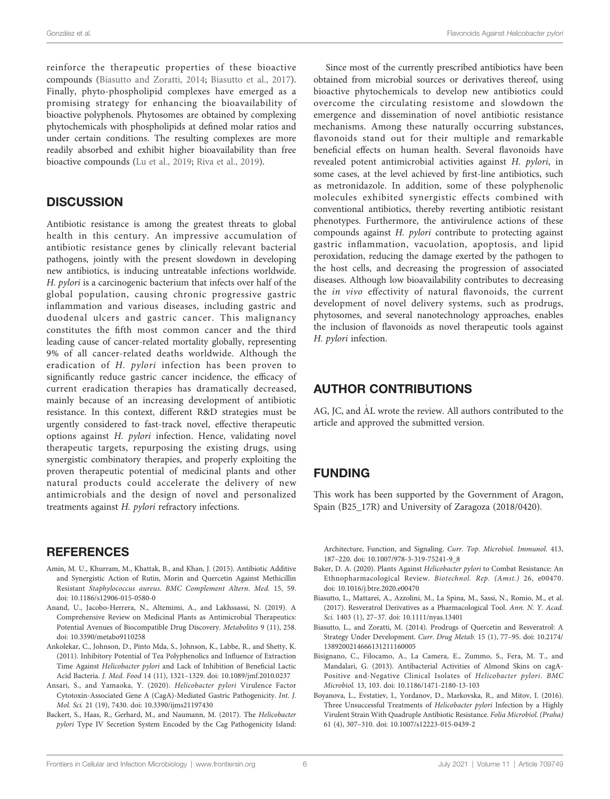<span id="page-5-0"></span>reinforce the therapeutic properties of these bioactive compounds (Biasutto and Zoratti, 2014; Biasutto et al., 2017). Finally, phyto-phospholipid complexes have emerged as a promising strategy for enhancing the bioavailability of bioactive polyphenols. Phytosomes are obtained by complexing phytochemicals with phospholipids at defined molar ratios and under certain conditions. The resulting complexes are more readily absorbed and exhibit higher bioavailability than free bioactive compounds ([Lu et al., 2019;](#page-7-0) [Riva et al., 2019\)](#page-7-0).

## **DISCUSSION**

Antibiotic resistance is among the greatest threats to global health in this century. An impressive accumulation of antibiotic resistance genes by clinically relevant bacterial pathogens, jointly with the present slowdown in developing new antibiotics, is inducing untreatable infections worldwide. H. pylori is a carcinogenic bacterium that infects over half of the global population, causing chronic progressive gastric inflammation and various diseases, including gastric and duodenal ulcers and gastric cancer. This malignancy constitutes the fifth most common cancer and the third leading cause of cancer-related mortality globally, representing 9% of all cancer-related deaths worldwide. Although the eradication of H. pylori infection has been proven to significantly reduce gastric cancer incidence, the efficacy of current eradication therapies has dramatically decreased, mainly because of an increasing development of antibiotic resistance. In this context, different R&D strategies must be urgently considered to fast-track novel, effective therapeutic options against H. pylori infection. Hence, validating novel therapeutic targets, repurposing the existing drugs, using synergistic combinatory therapies, and properly exploiting the proven therapeutic potential of medicinal plants and other natural products could accelerate the delivery of new antimicrobials and the design of novel and personalized treatments against H. pylori refractory infections.

# **REFERENCES**

- Amin, M. U., Khurram, M., Khattak, B., and Khan, J. (2015). Antibiotic Additive and Synergistic Action of Rutin, Morin and Quercetin Against Methicillin Resistant Staphylococcus aureus. BMC Complement Altern. Med. 15, 59. doi: [10.1186/s12906-015-0580-0](https://doi.org/10.1186/s12906-015-0580-0)
- Anand, U., Jacobo-Herrera, N., Altemimi, A., and Lakhssassi, N. (2019). A Comprehensive Review on Medicinal Plants as Antimicrobial Therapeutics: Potential Avenues of Biocompatible Drug Discovery. Metabolites 9 (11), 258. doi: [10.3390/metabo9110258](https://doi.org/10.3390/metabo9110258)
- Ankolekar, C., Johnson, D., Pinto Mda, S., Johnson, K., Labbe, R., and Shetty, K. (2011). Inhibitory Potential of Tea Polyphenolics and Influence of Extraction Time Against Helicobacter pylori and Lack of Inhibition of Beneficial Lactic Acid Bacteria. J. Med. Food 14 (11), 1321–1329. doi: [10.1089/jmf.2010.0237](https://doi.org/10.1089/jmf.2010.0237)
- Ansari, S., and Yamaoka, Y. (2020). Helicobacter pylori Virulence Factor Cytotoxin-Associated Gene A (CagA)-Mediated Gastric Pathogenicity. Int. J. Mol. Sci. 21 (19), 7430. doi: [10.3390/ijms21197430](https://doi.org/10.3390/ijms21197430)
- Backert, S., Haas, R., Gerhard, M., and Naumann, M. (2017). The Helicobacter pylori Type IV Secretion System Encoded by the Cag Pathogenicity Island:

Since most of the currently prescribed antibiotics have been obtained from microbial sources or derivatives thereof, using bioactive phytochemicals to develop new antibiotics could overcome the circulating resistome and slowdown the emergence and dissemination of novel antibiotic resistance mechanisms. Among these naturally occurring substances, flavonoids stand out for their multiple and remarkable beneficial effects on human health. Several flavonoids have revealed potent antimicrobial activities against H. pylori, in some cases, at the level achieved by first-line antibiotics, such as metronidazole. In addition, some of these polyphenolic molecules exhibited synergistic effects combined with conventional antibiotics, thereby reverting antibiotic resistant phenotypes. Furthermore, the antivirulence actions of these compounds against H. pylori contribute to protecting against gastric inflammation, vacuolation, apoptosis, and lipid peroxidation, reducing the damage exerted by the pathogen to the host cells, and decreasing the progression of associated diseases. Although low bioavailability contributes to decreasing the in vivo effectivity of natural flavonoids, the current development of novel delivery systems, such as prodrugs, phytosomes, and several nanotechnology approaches, enables the inclusion of flavonoids as novel therapeutic tools against H. pylori infection.

# AUTHOR CONTRIBUTIONS

AG, JC, and AL wrote the review. All authors contributed to the article and approved the submitted version.

# FUNDING

This work has been supported by the Government of Aragon, Spain (B25\_17R) and University of Zaragoza (2018/0420).

Architecture, Function, and Signaling. Curr. Top. Microbiol. Immunol. 413, 187–220. doi: [10.1007/978-3-319-75241-9\\_8](https://doi.org/10.1007/978-3-319-75241-9_8)

- Baker, D. A. (2020). Plants Against Helicobacter pylori to Combat Resistance: An Ethnopharmacological Review. Biotechnol. Rep. (Amst.) 26, e00470. doi: [10.1016/j.btre.2020.e00470](https://doi.org/10.1016/j.btre.2020.e00470)
- Biasutto, L., Mattarei, A., Azzolini, M., La Spina, M., Sassi, N., Romio, M., et al. (2017). Resveratrol Derivatives as a Pharmacological Tool. Ann. N. Y. Acad. Sci. 1403 (1), 27–37. doi: [10.1111/nyas.13401](https://doi.org/10.1111/nyas.13401)
- Biasutto, L., and Zoratti, M. (2014). Prodrugs of Quercetin and Resveratrol: A Strategy Under Development. Curr. Drug Metab. 15 (1), 77–95. doi: [10.2174/](https://doi.org/10.2174/1389200214666131211160005) [1389200214666131211160005](https://doi.org/10.2174/1389200214666131211160005)
- Bisignano, C., Filocamo, A., La Camera, E., Zummo, S., Fera, M. T., and Mandalari, G. (2013). Antibacterial Activities of Almond Skins on cagA-Positive and-Negative Clinical Isolates of Helicobacter pylori. BMC Microbiol. 13, 103. doi: [10.1186/1471-2180-13-103](https://doi.org/10.1186/1471-2180-13-103)
- Boyanova, L., Evstatiev, I., Yordanov, D., Markovska, R., and Mitov, I. (2016). Three Unsuccessful Treatments of Helicobacter pylori Infection by a Highly Virulent Strain With Quadruple Antibiotic Resistance. Folia Microbiol. (Praha) 61 (4), 307–310. doi: [10.1007/s12223-015-0439-2](https://doi.org/10.1007/s12223-015-0439-2)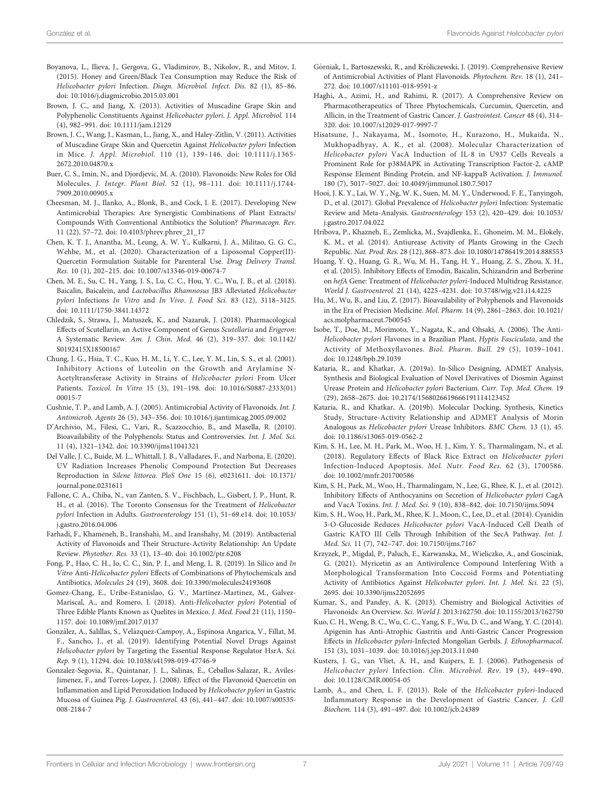- <span id="page-6-0"></span>Boyanova, L., Ilieva, J., Gergova, G., Vladimirov, B., Nikolov, R., and Mitov, I. (2015). Honey and Green/Black Tea Consumption may Reduce the Risk of Helicobacter pylori Infection. Diagn. Microbiol. Infect. Dis. 82 (1), 85–86. doi: [10.1016/j.diagmicrobio.2015.03.001](https://doi.org/10.1016/j.diagmicrobio.2015.03.001)
- Brown, J. C., and Jiang, X. (2013). Activities of Muscadine Grape Skin and Polyphenolic Constituents Against Helicobacter pylori. J. Appl. Microbiol. 114 (4), 982–991. doi: [10.1111/jam.12129](https://doi.org/10.1111/jam.12129)
- Brown, J. C., Wang, J., Kasman, L., Jiang, X., and Haley-Zitlin, V. (2011). Activities of Muscadine Grape Skin and Quercetin Against Helicobacter pylori Infection in Mice. J. Appl. Microbiol. 110 (1), 139–146. doi: [10.1111/j.1365-](https://doi.org/10.1111/j.1365-2672.2010.04870.x) [2672.2010.04870.x](https://doi.org/10.1111/j.1365-2672.2010.04870.x)
- Buer, C. S., Imin, N., and Djordjevic, M. A. (2010). Flavonoids: New Roles for Old Molecules. J. Integr. Plant Biol. 52 (1), 98–111. doi: [10.1111/j.1744-](https://doi.org/10.1111/j.1744-7909.2010.00905.x) [7909.2010.00905.x](https://doi.org/10.1111/j.1744-7909.2010.00905.x)
- Cheesman, M. J., Ilanko, A., Blonk, B., and Cock, I. E. (2017). Developing New Antimicrobial Therapies: Are Synergistic Combinations of Plant Extracts/ Compounds With Conventional Antibiotics the Solution? Pharmacogn. Rev. 11 (22), 57–72. doi: [10.4103/phrev.phrev\\_21\\_17](https://doi.org/10.4103/phrev.phrev_21_17)
- Chen, K. T. J., Anantha, M., Leung, A. W. Y., Kulkarni, J. A., Militao, G. G. C., Wehbe, M., et al. (2020). Characterization of a Liposomal Copper(II)- Quercetin Formulation Suitable for Parenteral Use. Drug Delivery Transl. Res. 10 (1), 202–215. doi: [10.1007/s13346-019-00674-7](https://doi.org/10.1007/s13346-019-00674-7)
- Chen, M. E., Su, C. H., Yang, J. S., Lu, C. C., Hou, Y. C., Wu, J. B., et al. (2018). Baicalin, Baicalein, and Lactobacillus Rhamnosus JB3 Alleviated Helicobacter pylori Infections In Vitro and In Vivo. J. Food Sci. 83 (12), 3118–3125. doi: [10.1111/1750-3841.14372](https://doi.org/10.1111/1750-3841.14372)
- Chledzik, S., Strawa, J., Matuszek, K., and Nazaruk, J. (2018). Pharmacological Effects of Scutellarin, an Active Component of Genus Scutellaria and Erigeron: A Systematic Review. Am. J. Chin. Med. 46 (2), 319–337. doi: [10.1142/](https://doi.org/10.1142/S0192415X18500167) [S0192415X18500167](https://doi.org/10.1142/S0192415X18500167)
- Chung, J. G., Hsia, T. C., Kuo, H. M., Li, Y. C., Lee, Y. M., Lin, S. S., et al. (2001). Inhibitory Actions of Luteolin on the Growth and Arylamine N-Acetyltransferase Activity in Strains of Helicobacter pylori From Ulcer Patients. Toxicol. In Vitro 15 (3), 191–198. doi: [10.1016/S0887-2333\(01\)](https://doi.org/10.1016/S0887-2333(01)00015-7) [00015-7](https://doi.org/10.1016/S0887-2333(01)00015-7)
- Cushnie, T. P., and Lamb, A. J. (2005). Antimicrobial Activity of Flavonoids. Int. J. Antimicrob. Agents 26 (5), 343–356. doi: [10.1016/j.ijantimicag.2005.09.002](https://doi.org/10.1016/j.ijantimicag.2005.09.002)
- D'Archivio, M., Filesi, C., Vari, R., Scazzocchio, B., and Masella, R. (2010). Bioavailability of the Polyphenols: Status and Controversies. Int. J. Mol. Sci. 11 (4), 1321–1342. doi: [10.3390/ijms11041321](https://doi.org/10.3390/ijms11041321)
- Del Valle, J. C., Buide, M. L., Whittall, J. B., Valladares, F., and Narbona, E. (2020). UV Radiation Increases Phenolic Compound Protection But Decreases Reproduction in Silene littorea. PloS One 15 (6), e0231611. doi: [10.1371/](https://doi.org/10.1371/journal.pone.0231611) [journal.pone.0231611](https://doi.org/10.1371/journal.pone.0231611)
- Fallone, C. A., Chiba, N., van Zanten, S. V., Fischbach, L., Gisbert, J. P., Hunt, R. H., et al. (2016). The Toronto Consensus for the Treatment of Helicobacter pylori Infection in Adults. Gastroenterology 151 (1), 51–69.e14. doi: [10.1053/](https://doi.org/10.1053/j.gastro.2016.04.006) [j.gastro.2016.04.006](https://doi.org/10.1053/j.gastro.2016.04.006)
- Farhadi, F., Khameneh, B., Iranshahi, M., and Iranshahy, M. (2019). Antibacterial Activity of Flavonoids and Their Structure-Activity Relationship: An Update Review. Phytother. Res. 33 (1), 13–40. doi: [10.1002/ptr.6208](https://doi.org/10.1002/ptr.6208)
- Fong, P., Hao, C. H., Io, C. C., Sin, P. I., and Meng, L. R. (2019). In Silico and In Vitro Anti-Helicobacter pylori Effects of Combinations of Phytochemicals and Antibiotics. Molecules 24 (19), 3608. doi: [10.3390/molecules24193608](https://doi.org/10.3390/molecules24193608)
- Gomez-Chang, E., Uribe-Estanislao, G. V., Martinez-Martinez, M., Galvez-Mariscal, A., and Romero, I. (2018). Anti-Helicobacter pylori Potential of Three Edible Plants Known as Quelites in Mexico. J. Med. Food 21 (11), 1150– 1157. doi: [10.1089/jmf.2017.0137](https://doi.org/10.1089/jmf.2017.0137)
- González, A., Salillas, S., Velázquez-Campoy, A., Espinosa Angarica, V., Fillat, M. F., Sancho, J., et al. (2019). Identifying Potential Novel Drugs Against Helicobacter pylori by Targeting the Essential Response Regulator HsrA. Sci. Rep. 9 (1), 11294. doi: [10.1038/s41598-019-47746-9](https://doi.org/10.1038/s41598-019-47746-9)
- Gonzalez-Segovia, R., Quintanar, J. L., Salinas, E., Ceballos-Salazar, R., Aviles-Jimenez, F., and Torres-Lopez, J. (2008). Effect of the Flavonoid Quercetin on Inflammation and Lipid Peroxidation Induced by Helicobacter pylori in Gastric Mucosa of Guinea Pig. J. Gastroenterol. 43 (6), 441–447. doi: [10.1007/s00535-](https://doi.org/10.1007/s00535-008-2184-7) [008-2184-7](https://doi.org/10.1007/s00535-008-2184-7)
- Górniak, I., Bartoszewski, R., and Króliczewski, J. (2019). Comprehensive Review of Antimicrobial Activities of Plant Flavonoids. Phytochem. Rev. 18 (1), 241– 272. doi: [10.1007/s11101-018-9591-z](https://doi.org/10.1007/s11101-018-9591-z)
- Haghi, A., Azimi, H., and Rahimi, R. (2017). A Comprehensive Review on Pharmacotherapeutics of Three Phytochemicals, Curcumin, Quercetin, and Allicin, in the Treatment of Gastric Cancer. J. Gastrointest. Cancer 48 (4), 314– 320. doi: [10.1007/s12029-017-9997-7](https://doi.org/10.1007/s12029-017-9997-7)
- Hisatsune, J., Nakayama, M., Isomoto, H., Kurazono, H., Mukaida, N., Mukhopadhyay, A. K., et al. (2008). Molecular Characterization of Helicobacter pylori VacA Induction of IL-8 in U937 Cells Reveals a Prominent Role for p38MAPK in Activating Transcription Factor-2, cAMP Response Element Binding Protein, and NF-kappaB Activation. J. Immunol. 180 (7), 5017–5027. doi: [10.4049/jimmunol.180.7.5017](https://doi.org/10.4049/jimmunol.180.7.5017)
- Hooi, J. K. Y., Lai, W. Y., Ng, W. K., Suen, M. M. Y., Underwood, F. E., Tanyingoh, D., et al. (2017). Global Prevalence of Helicobacter pylori Infection: Systematic Review and Meta-Analysis. Gastroenterology 153 (2), 420–429. doi: [10.1053/](https://doi.org/10.1053/j.gastro.2017.04.022) [j.gastro.2017.04.022](https://doi.org/10.1053/j.gastro.2017.04.022)
- Hribova, P., Khazneh, E., Zemlicka, M., Svajdlenka, E., Ghoneim, M. M., Elokely, K. M., et al. (2014). Antiurease Activity of Plants Growing in the Czech Republic. Nat. Prod. Res. 28 (12), 868–873. doi: [10.1080/14786419.2014.888553](https://doi.org/10.1080/14786419.2014.888553)
- Huang, Y. Q., Huang, G. R., Wu, M. H., Tang, H. Y., Huang, Z. S., Zhou, X. H., et al. (2015). Inhibitory Effects of Emodin, Baicalin, Schizandrin and Berberine on hefA Gene: Treatment of Helicobacter pylori-Induced Multidrug Resistance. World J. Gastroenterol. 21 (14), 4225–4231. doi: [10.3748/wjg.v21.i14.4225](https://doi.org/10.3748/wjg.v21.i14.4225)
- Hu, M., Wu, B., and Liu, Z. (2017). Bioavailability of Polyphenols and Flavonoids in the Era of Precision Medicine. Mol. Pharm. 14 (9), 2861–2863. doi: [10.1021/](https://doi.org/10.1021/acs.molpharmaceut.7b00545) [acs.molpharmaceut.7b00545](https://doi.org/10.1021/acs.molpharmaceut.7b00545)
- Isobe, T., Doe, M., Morimoto, Y., Nagata, K., and Ohsaki, A. (2006). The Anti-Helicobacter pylori Flavones in a Brazilian Plant, Hyptis Fasciculata, and the Activity of Methoxyflavones. Biol. Pharm. Bull. 29 (5), 1039–1041. doi: [10.1248/bpb.29.1039](https://doi.org/10.1248/bpb.29.1039)
- Kataria, R., and Khatkar, A. (2019a). In-Silico Designing, ADMET Analysis, Synthesis and Biological Evaluation of Novel Derivatives of Diosmin Against Urease Protein and Helicobacter pylori Bacterium. Curr. Top. Med. Chem. 19 (29), 2658–2675. doi: [10.2174/1568026619666191114123452](https://doi.org/10.2174/1568026619666191114123452)
- Kataria, R., and Khatkar, A. (2019b). Molecular Docking, Synthesis, Kinetics Study, Structure-Activity Relationship and ADMET Analysis of Morin Analogous as Helicobacter pylori Urease Inhibitors. BMC Chem. 13 (1), 45. doi: [10.1186/s13065-019-0562-2](https://doi.org/10.1186/s13065-019-0562-2)
- Kim, S. H., Lee, M. H., Park, M., Woo, H. J., Kim, Y. S., Tharmalingam, N., et al. (2018). Regulatory Effects of Black Rice Extract on Helicobacter pylori Infection-Induced Apoptosis. Mol. Nutr. Food Res. 62 (3), 1700586. doi: [10.1002/mnfr.201700586](https://doi.org/10.1002/mnfr.201700586)
- Kim, S. H., Park, M., Woo, H., Tharmalingam, N., Lee, G., Rhee, K. J., et al. (2012). Inhibitory Effects of Anthocyanins on Secretion of Helicobacter pylori CagA and VacA Toxins. Int. J. Med. Sci. 9 (10), 838–842. doi: [10.7150/ijms.5094](https://doi.org/10.7150/ijms.5094)
- Kim, S. H., Woo, H., Park, M., Rhee, K. J., Moon, C., Lee, D., et al. (2014). Cyanidin 3-O-Glucoside Reduces Helicobacter pylori VacA-Induced Cell Death of Gastric KATO III Cells Through Inhibition of the SecA Pathway. Int. J. Med. Sci. 11 (7), 742–747. doi: [10.7150/ijms.7167](https://doi.org/10.7150/ijms.7167)
- Krzyzek, P., Migdal, P., Paluch, E., Karwanska, M., Wieliczko, A., and Gosciniak, G. (2021). Myricetin as an Antivirulence Compound Interfering With a Morphological Transformation Into Coccoid Forms and Potentiating Activity of Antibiotics Against Helicobacter pylori. Int. J. Mol. Sci. 22 (5), 2695. doi: [10.3390/ijms22052695](https://doi.org/10.3390/ijms22052695)
- Kumar, S., and Pandey, A. K. (2013). Chemistry and Biological Activities of Flavonoids: An Overview. Sci. World J. 2013:162750. doi: [10.1155/2013/162750](https://doi.org/10.1155/2013/162750)
- Kuo, C. H., Weng, B. C., Wu, C. C., Yang, S. F., Wu, D. C., and Wang, Y. C. (2014). Apigenin has Anti-Atrophic Gastritis and Anti-Gastric Cancer Progression Effects in Helicobacter pylori-Infected Mongolian Gerbils. J. Ethnopharmacol. 151 (3), 1031–1039. doi: [10.1016/j.jep.2013.11.040](https://doi.org/10.1016/j.jep.2013.11.040)
- Kusters, J. G., van Vliet, A. H., and Kuipers, E. J. (2006). Pathogenesis of Helicobacter pylori Infection. Clin. Microbiol. Rev. 19 (3), 449–490. doi: [10.1128/CMR.00054-05](https://doi.org/10.1128/CMR.00054-05)
- Lamb, A., and Chen, L. F. (2013). Role of the Helicobacter pylori-Induced Inflammatory Response in the Development of Gastric Cancer. J. Cell Biochem. 114 (3), 491–497. doi: [10.1002/jcb.24389](https://doi.org/10.1002/jcb.24389)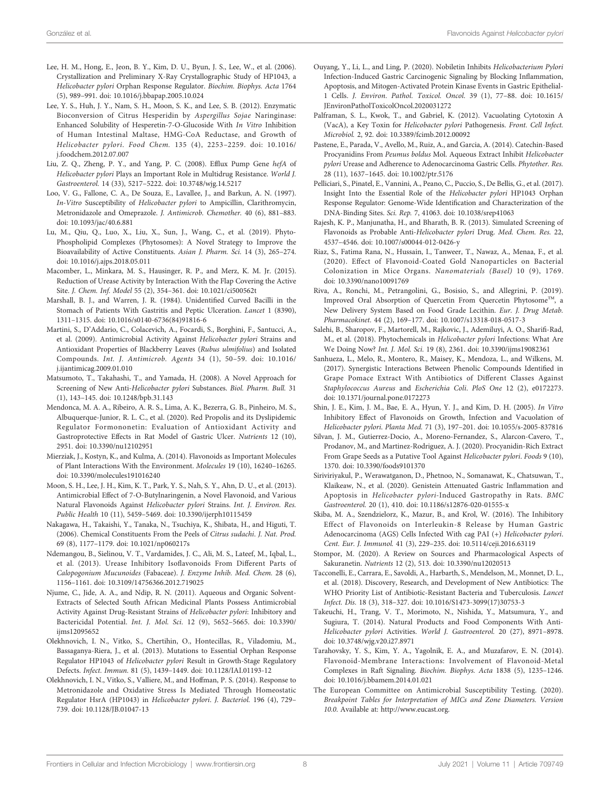- <span id="page-7-0"></span>Lee, H. M., Hong, E., Jeon, B. Y., Kim, D. U., Byun, J. S., Lee, W., et al. (2006). Crystallization and Preliminary X-Ray Crystallographic Study of HP1043, a Helicobacter pylori Orphan Response Regulator. Biochim. Biophys. Acta 1764 (5), 989–991. doi: [10.1016/j.bbapap.2005.10.024](https://doi.org/10.1016/j.bbapap.2005.10.024)
- Lee, Y. S., Huh, J. Y., Nam, S. H., Moon, S. K., and Lee, S. B. (2012). Enzymatic Bioconversion of Citrus Hesperidin by Aspergillus Sojae Naringinase: Enhanced Solubility of Hesperetin-7-O-Glucoside With In Vitro Inhibition of Human Intestinal Maltase, HMG-CoA Reductase, and Growth of Helicobacter pylori. Food Chem. 135 (4), 2253–2259. doi: [10.1016/](https://doi.org/10.1016/j.foodchem.2012.07.007) [j.foodchem.2012.07.007](https://doi.org/10.1016/j.foodchem.2012.07.007)
- Liu, Z. Q., Zheng, P. Y., and Yang, P. C. (2008). Efflux Pump Gene hefA of Helicobacter pylori Plays an Important Role in Multidrug Resistance. World J. Gastroenterol. 14 (33), 5217–5222. doi: [10.3748/wjg.14.5217](https://doi.org/10.3748/wjg.14.5217)
- Loo, V. G., Fallone, C. A., De Souza, E., Lavallee, J., and Barkun, A. N. (1997). In-Vitro Susceptibility of Helicobacter pylori to Ampicillin, Clarithromycin, Metronidazole and Omeprazole. J. Antimicrob. Chemother. 40 (6), 881–883. doi: [10.1093/jac/40.6.881](https://doi.org/10.1093/jac/40.6.881)
- Lu, M., Qiu, Q., Luo, X., Liu, X., Sun, J., Wang, C., et al. (2019). Phyto-Phospholipid Complexes (Phytosomes): A Novel Strategy to Improve the Bioavailability of Active Constituents. Asian J. Pharm. Sci. 14 (3), 265–274. doi: [10.1016/j.ajps.2018.05.011](https://doi.org/10.1016/j.ajps.2018.05.011)
- Macomber, L., Minkara, M. S., Hausinger, R. P., and Merz, K. M. Jr. (2015). Reduction of Urease Activity by Interaction With the Flap Covering the Active Site. J. Chem. Inf. Model 55 (2), 354–361. doi: [10.1021/ci500562t](https://doi.org/10.1021/ci500562t)
- Marshall, B. J., and Warren, J. R. (1984). Unidentified Curved Bacilli in the Stomach of Patients With Gastritis and Peptic Ulceration. Lancet 1 (8390), 1311–1315. doi: [10.1016/s0140-6736\(84\)91816-6](https://doi.org/10.1016/s0140-6736(84)91816-6)
- Martini, S., D'Addario, C., Colacevich, A., Focardi, S., Borghini, F., Santucci, A., et al. (2009). Antimicrobial Activity Against Helicobacter pylori Strains and Antioxidant Properties of Blackberry Leaves (Rubus ulmifolius) and Isolated Compounds. Int. J. Antimicrob. Agents 34 (1), 50–59. doi: [10.1016/](https://doi.org/10.1016/j.ijantimicag.2009.01.010) [j.ijantimicag.2009.01.010](https://doi.org/10.1016/j.ijantimicag.2009.01.010)
- Matsumoto, T., Takahashi, T., and Yamada, H. (2008). A Novel Approach for Screening of New Anti-Helicobacter pylori Substances. Biol. Pharm. Bull. 31 (1), 143–145. doi: [10.1248/bpb.31.143](https://doi.org/10.1248/bpb.31.143)
- Mendonca, M. A. A., Ribeiro, A. R. S., Lima, A. K., Bezerra, G. B., Pinheiro, M. S., Albuquerque-Junior, R. L. C., et al. (2020). Red Propolis and its Dyslipidemic Regulator Formononetin: Evaluation of Antioxidant Activity and Gastroprotective Effects in Rat Model of Gastric Ulcer. Nutrients 12 (10), 2951. doi: [10.3390/nu12102951](https://doi.org/10.3390/nu12102951)
- Mierziak, J., Kostyn, K., and Kulma, A. (2014). Flavonoids as Important Molecules of Plant Interactions With the Environment. Molecules 19 (10), 16240–16265. doi: [10.3390/molecules191016240](https://doi.org/10.3390/molecules191016240)
- Moon, S. H., Lee, J. H., Kim, K. T., Park, Y. S., Nah, S. Y., Ahn, D. U., et al. (2013). Antimicrobial Effect of 7-O-Butylnaringenin, a Novel Flavonoid, and Various Natural Flavonoids Against Helicobacter pylori Strains. Int. J. Environ. Res. Public Health 10 (11), 5459–5469. doi: [10.3390/ijerph10115459](https://doi.org/10.3390/ijerph10115459)
- Nakagawa, H., Takaishi, Y., Tanaka, N., Tsuchiya, K., Shibata, H., and Higuti, T. (2006). Chemical Constituents From the Peels of Citrus sudachi. J. Nat. Prod. 69 (8), 1177–1179. doi: [10.1021/np060217s](https://doi.org/10.1021/np060217s)
- Ndemangou, B., Sielinou, V. T., Vardamides, J. C., Ali, M. S., Lateef, M., Iqbal, L., et al. (2013). Urease Inhibitory Isoflavonoids From Different Parts of Calopogonium Mucunoides (Fabaceae). J. Enzyme Inhib. Med. Chem. 28 (6), 1156–1161. doi: [10.3109/14756366.2012.719025](https://doi.org/10.3109/14756366.2012.719025)
- Njume, C., Jide, A. A., and Ndip, R. N. (2011). Aqueous and Organic Solvent-Extracts of Selected South African Medicinal Plants Possess Antimicrobial Activity Against Drug-Resistant Strains of Helicobacter pylori: Inhibitory and Bactericidal Potential. Int. J. Mol. Sci. 12 (9), 5652–5665. doi: [10.3390/](https://doi.org/10.3390/ijms12095652) [ijms12095652](https://doi.org/10.3390/ijms12095652)
- Olekhnovich, I. N., Vitko, S., Chertihin, O., Hontecillas, R., Viladomiu, M., Bassaganya-Riera, J., et al. (2013). Mutations to Essential Orphan Response Regulator HP1043 of Helicobacter pylori Result in Growth-Stage Regulatory Defects. Infect. Immun. 81 (5), 1439–1449. doi: [10.1128/IAI.01193-12](https://doi.org/10.1128/IAI.01193-12)
- Olekhnovich, I. N., Vitko, S., Valliere, M., and Hoffman, P. S. (2014). Response to Metronidazole and Oxidative Stress Is Mediated Through Homeostatic Regulator HsrA (HP1043) in Helicobacter pylori. J. Bacteriol. 196 (4), 729– 739. doi: [10.1128/JB.01047-13](https://doi.org/10.1128/JB.01047-13)
- Ouyang, Y., Li, L., and Ling, P. (2020). Nobiletin Inhibits Helicobacterium Pylori Infection-Induced Gastric Carcinogenic Signaling by Blocking Inflammation, Apoptosis, and Mitogen-Activated Protein Kinase Events in Gastric Epithelial-1 Cells. J. Environ. Pathol. Toxicol. Oncol. 39 (1), 77–88. doi: [10.1615/](https://doi.org/10.1615/JEnvironPatholToxicolOncol.2020031272) [JEnvironPatholToxicolOncol.2020031272](https://doi.org/10.1615/JEnvironPatholToxicolOncol.2020031272)
- Palframan, S. L., Kwok, T., and Gabriel, K. (2012). Vacuolating Cytotoxin A (VacA), a Key Toxin for Helicobacter pylori Pathogenesis. Front. Cell Infect. Microbiol. 2, 92. doi: [10.3389/fcimb.2012.00092](https://doi.org/10.3389/fcimb.2012.00092)
- Pastene, E., Parada, V., Avello, M., Ruiz, A., and Garcia, A. (2014). Catechin-Based Procyanidins From Peumus boldus Mol. Aqueous Extract Inhibit Helicobacter pylori Urease and Adherence to Adenocarcinoma Gastric Cells. Phytother. Res. 28 (11), 1637–1645. doi: [10.1002/ptr.5176](https://doi.org/10.1002/ptr.5176)
- Pelliciari, S., Pinatel, E., Vannini, A., Peano, C., Puccio, S., De Bellis, G., et al. (2017). Insight Into the Essential Role of the Helicobacter pylori HP1043 Orphan Response Regulator: Genome-Wide Identification and Characterization of the DNA-Binding Sites. Sci. Rep. 7, 41063. doi: [10.1038/srep41063](https://doi.org/10.1038/srep41063)
- Rajesh, K. P., Manjunatha, H., and Bharath, B. R. (2013). Simulated Screening of Flavonoids as Probable Anti-Helicobacter pylori Drug. Med. Chem. Res. 22, 4537–4546. doi: [10.1007/s00044-012-0426-y](https://doi.org/10.1007/s00044-012-0426-y)
- Riaz, S., Fatima Rana, N., Hussain, I., Tanweer, T., Nawaz, A., Menaa, F., et al. (2020). Effect of Flavonoid-Coated Gold Nanoparticles on Bacterial Colonization in Mice Organs. Nanomaterials (Basel) 10 (9), 1769. doi: [10.3390/nano10091769](https://doi.org/10.3390/nano10091769)
- Riva, A., Ronchi, M., Petrangolini, G., Bosisio, S., and Allegrini, P. (2019). Improved Oral Absorption of Quercetin From Quercetin Phytosome™, a New Delivery System Based on Food Grade Lecithin. Eur. J. Drug Metab. Pharmacokinet. 44 (2), 169–177. doi: [10.1007/s13318-018-0517-3](https://doi.org/10.1007/s13318-018-0517-3)
- Salehi, B., Sharopov, F., Martorell, M., Rajkovic, J., Ademiluyi, A. O., Sharifi-Rad, M., et al. (2018). Phytochemicals in Helicobacter pylori Infections: What Are We Doing Now? Int. J. Mol. Sci. 19 (8), 2361. doi: [10.3390/ijms19082361](https://doi.org/10.3390/ijms19082361)
- Sanhueza, L., Melo, R., Montero, R., Maisey, K., Mendoza, L., and Wilkens, M. (2017). Synergistic Interactions Between Phenolic Compounds Identified in Grape Pomace Extract With Antibiotics of Different Classes Against Staphylococcus Aureus and Escherichia Coli. PloS One 12 (2), e0172273. doi: [10.1371/journal.pone.0172273](https://doi.org/10.1371/journal.pone.0172273)
- Shin, J. E., Kim, J. M., Bae, E. A., Hyun, Y. J., and Kim, D. H. (2005). In Vitro Inhibitory Effect of Flavonoids on Growth, Infection and Vacuolation of Helicobacter pylori. Planta Med. 71 (3), 197–201. doi: [10.1055/s-2005-837816](https://doi.org/10.1055/s-2005-837816)
- Silvan, J. M., Gutierrez-Docio, A., Moreno-Fernandez, S., Alarcon-Cavero, T., Prodanov, M., and Martinez-Rodriguez, A. J. (2020). Procyanidin-Rich Extract From Grape Seeds as a Putative Tool Against Helicobacter pylori. Foods 9 (10), 1370. doi: [10.3390/foods9101370](https://doi.org/10.3390/foods9101370)
- Siriviriyakul, P., Werawatganon, D., Phetnoo, N., Somanawat, K., Chatsuwan, T., Klaikeaw, N., et al. (2020). Genistein Attenuated Gastric Inflammation and Apoptosis in Helicobacter pylori-Induced Gastropathy in Rats. BMC Gastroenterol. 20 (1), 410. doi: [10.1186/s12876-020-01555-x](https://doi.org/10.1186/s12876-020-01555-x)
- Skiba, M. A., Szendzielorz, K., Mazur, B., and Krol, W. (2016). The Inhibitory Effect of Flavonoids on Interleukin-8 Release by Human Gastric Adenocarcinoma (AGS) Cells Infected With cag PAI (+) Helicobacter pylori. Cent. Eur. J. Immunol. 41 (3), 229–235. doi: [10.5114/ceji.2016.63119](https://doi.org/10.5114/ceji.2016.63119)
- Stompor, M. (2020). A Review on Sources and Pharmacological Aspects of Sakuranetin. Nutrients 12 (2), 513. doi: [10.3390/nu12020513](https://doi.org/10.3390/nu12020513)
- Tacconelli, E., Carrara, E., Savoldi, A., Harbarth, S., Mendelson, M., Monnet, D. L., et al. (2018). Discovery, Research, and Development of New Antibiotics: The WHO Priority List of Antibiotic-Resistant Bacteria and Tuberculosis. Lancet Infect. Dis. 18 (3), 318–327. doi: [10.1016/S1473-3099\(17\)30753-3](https://doi.org/10.1016/S1473-3099(17)30753-3)
- Takeuchi, H., Trang, V. T., Morimoto, N., Nishida, Y., Matsumura, Y., and Sugiura, T. (2014). Natural Products and Food Components With Anti-Helicobacter pylori Activities. World J. Gastroenterol. 20 (27), 8971–8978. doi: [10.3748/wjg.v20.i27.8971](https://doi.org/10.3748/wjg.v20.i27.8971)
- Tarahovsky, Y. S., Kim, Y. A., Yagolnik, E. A., and Muzafarov, E. N. (2014). Flavonoid-Membrane Interactions: Involvement of Flavonoid-Metal Complexes in Raft Signaling. Biochim. Biophys. Acta 1838 (5), 1235–1246. doi: [10.1016/j.bbamem.2014.01.021](https://doi.org/10.1016/j.bbamem.2014.01.021)
- The European Committee on Antimicrobial Susceptibility Testing. (2020). Breakpoint Tables for Interpretation of MICs and Zone Diameters. Version 10.0. Available at:<http://www.eucast.org>.